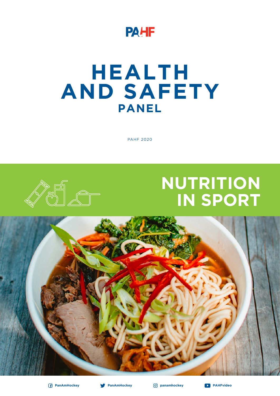

# **HEALTH AND SAFETY PANEL**

PAHF 2020

# **NUTRITION IN SPORT**







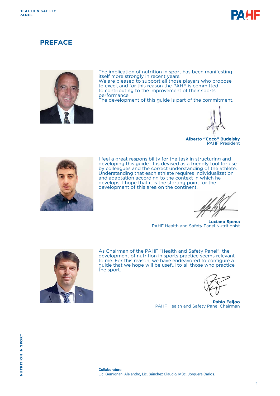

## **PREFACE**



The implication of nutrition in sport has been manifesting itself more strongly in recent years. We are pleased to support all those players who propose to excel, and for this reason the PAHF is committed to contributing to the improvement of their sports performance.

The development of this guide is part of the commitment.



**Alberto "Coco" Budeisky** PAHF President



I feel a great responsibility for the task in structuring and developing this guide. It is devised as a friendly tool for use by colleagues and the correct understanding of the athlete. Understanding that each athlete requires individualization and adaptation according to the context in which he develops, I hope that it is the starting point for the development of this area on the continent.

**Luciano Spena** PAHF Health and Safety Panel Nutritionist



As Chairman of the PAHF "Health and Safety Panel", the development of nutrition in sports practice seems relevant to me. For this reason, we have endeavored to configure a guide that we hope will be useful to all those who practice the sport.

**Pablo Feijoo** PAHF Health and Safety Panel Chairman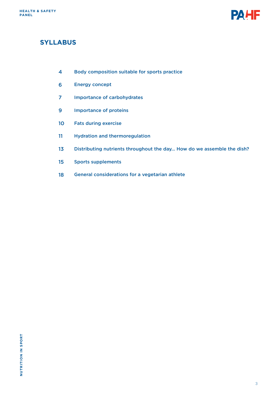

# **SYLLABUS**

- Body composition suitable for sports practice 4
- Energy concept 6
- Importance of carbohydrates 7
- Importance of proteins 9
- Fats during exercise 10
- Hydration and thermoregulation 11
- Distributing nutrients throughout the day… How do we assemble the dish? 13
- Sports supplements 15
- General considerations for a vegetarian athlete 18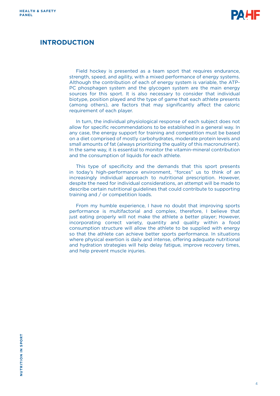

## **INTRODUCTION**

Field hockey is presented as a team sport that requires endurance, strength, speed, and agility, with a mixed performance of energy systems. Although the contribution of each of energy system is variable, the ATP-PC phosphagen system and the glycogen system are the main energy sources for this sport. It is also necessary to consider that individual biotype, position played and the type of game that each athlete presents (among others), are factors that may significantly affect the caloric requirement of each player.

In turn, the individual physiological response of each subject does not allow for specific recommendations to be established in a general way. In any case, the energy support for training and competition must be based on a diet comprised of mostly carbohydrates, moderate protein levels and small amounts of fat (always prioritizing the quality of this macronutrient). In the same way, it is essential to monitor the vitamin-mineral contribution and the consumption of liquids for each athlete.

This type of specificity and the demands that this sport presents in today's high-performance environment, "forces" us to think of an increasingly individual approach to nutritional prescription. However, despite the need for individual considerations, an attempt will be made to describe certain nutritional guidelines that could contribute to supporting training and / or competition loads.

From my humble experience, I have no doubt that improving sports performance is multifactorial and complex, therefore, I believe that just eating properly will not make the athlete a better player; However, incorporating correct variety, quantity and quality within a food consumption structure will allow the athlete to be supplied with energy so that the athlete can achieve better sports performance. In situations where physical exertion is daily and intense, offering adequate nutritional and hydration strategies will help delay fatigue, improve recovery times, and help prevent muscle injuries.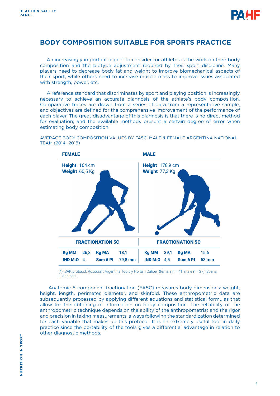

# **BODY COMPOSITION SUITABLE FOR SPORTS PRACTICE**

An increasingly important aspect to consider for athletes is the work on their body composition and the biotype adjustment required by their sport discipline. Many players need to decrease body fat and weight to improve biomechanical aspects of their sport, while others need to increase muscle mass to improve issues associated with strength, power, etc.

A reference standard that discriminates by sport and playing position is increasingly necessary to achieve an accurate diagnosis of the athlete's body composition. Comparative traces are drawn from a series of data from a representative sample, and objectives are defined for the comprehensive improvement of the performance of each player. The great disadvantage of this diagnosis is that there is no direct method for evaluation, and the available methods present a certain degree of error when estimating body composition.



AVERAGE BODY COMPOSITION VALUES BY FA5C. MALE & FEMALE ARGENTINA NATIONAL TEAM (2014- 2018)

(\*) ISAK protocol. Rosscraft Argentina Tools y Holtain Caliber (female n = 41; male n = 37). Spena L. and cols.

 Anatomic 5-component fractionation (FA5C) measures body dimensions: weight, height, length, perimeter, diameter, and skinfold. These anthropometric data are subsequently processed by applying different equations and statistical formulas that allow for the obtaining of information on body composition. The reliability of the anthropometric technique depends on the ability of the anthropometrist and the rigor and precision in taking measurements, always following the standardization determined for each variable that makes up this protocol. It is an extremely useful tool in daily practice since the portability of the tools gives a differential advantage in relation to other diagnostic methods.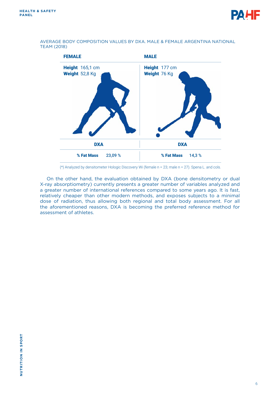



AVERAGE BODY COMPOSITION VALUES BY DXA. MALE & FEMALE ARGENTINA NATIONAL TEAM (2018)

(\*) Analyzed by densitometer Hologic Discovery Wi (female n = 23; male n = 27). Spena L. and cols.

On the other hand, the evaluation obtained by DXA (bone densitometry or dual X-ray absorptiometry) currently presents a greater number of variables analyzed and a greater number of international references compared to some years ago. It is fast, relatively cheaper than other modern methods, and exposes subjects to a minimal dose of radiation, thus allowing both regional and total body assessment. For all the aforementioned reasons, DXA is becoming the preferred reference method for assessment of athletes.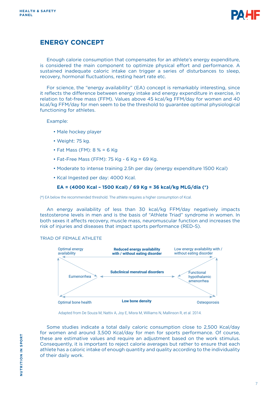

# **ENERGY CONCEPT**

Enough calorie consumption that compensates for an athlete's energy expenditure, is considered the main component to optimize physical effort and performance. A sustained inadequate caloric intake can trigger a series of disturbances to sleep, recovery, hormonal fluctuations, resting heart rate etc.

For science, the "energy availability" (EA) concept is remarkably interesting, since it reflects the difference between energy intake and energy expenditure in exercise, in relation to fat-free mass (FFM). Values above 45 kcal/kg FFM/day for women and 40 kcal/kg FFM/day for men seem to be the threshold to guarantee optimal physiological functioning for athletes.

Example:

- Male hockey player
- Weight: 75 kg.
- Fat Mass (FM): 8 % = 6 Kg
- Fat-Free Mass (FFM): 75 Kg 6 Kg = 69 Kg.
- Moderate to intense training 2.5h per day (energy expenditure 1500 Kcal)
- Kcal Ingested per day: 4000 Kcal.

### **EA = (4000 Kcal – 1500 Kcal) / 69 Kg = 36 kcal/kg MLG/día (\*)**

(\*) EA below the recommended threshold. The athlete requires a higher consumption of Kcal.

An energy availability of less than 30 kcal/kg FFM/day negatively impacts testosterone levels in men and is the basis of "Athlete Triad" syndrome in women. In both sexes it affects recovery, muscle mass, neuromuscular function and increases the risk of injuries and diseases that impact sports performance (RED-S).

TRIAD OF FEMALE ATHLETE



Adapted from De Souza M, Nattiv A, Joy E, Misra M, Williams N, Mallinson R, et al. 2014.

Some studies indicate a total daily caloric consumption close to 2,500 Kcal/day for women and around 3,500 Kcal/day for men for sports performance. Of course, these are estimative values and require an adjustment based on the work stimulus. Consequently, it is important to reject calorie averages but rather to ensure that each athlete has a caloric intake of enough quantity and quality according to the individuality of their daily work.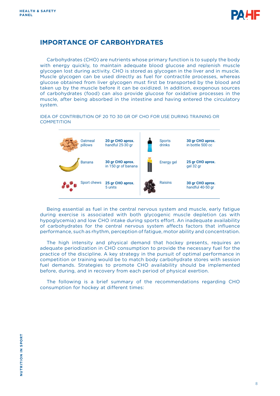

## **IMPORTANCE OF CARBOHYDRATES**

Carbohydrates (CHO) are nutrients whose primary function is to supply the body with energy quickly, to maintain adequate blood glucose and replenish muscle glycogen lost during activity. CHO is stored as glycogen in the liver and in muscle. Muscle glycogen can be used directly as fuel for contractile processes, whereas glucose obtained from liver glycogen must first be transported by the blood and taken up by the muscle before it can be oxidized. In addition, exogenous sources of carbohydrates (food) can also provide glucose for oxidative processes in the muscle, after being absorbed in the intestine and having entered the circulatory system.

IDEA OF CONTRIBUTION OF 20 TO 30 GR OF CHO FOR USE DURING TRAINING OR **COMPETITION** 



Being essential as fuel in the central nervous system and muscle, early fatigue during exercise is associated with both glycogenic muscle depletion (as with hypoglycemia) and low CHO intake during sports effort. An inadequate availability of carbohydrates for the central nervous system affects factors that influence performance, such as rhythm, perception of fatigue, motor ability and concentration.

The high intensity and physical demand that hockey presents, requires an adequate periodization in CHO consumption to provide the necessary fuel for the practice of the discipline. A key strategy in the pursuit of optimal performance in competition or training would be to match body carbohydrate stores with session fuel demands. Strategies to promote CHO availability should be implemented before, during, and in recovery from each period of physical exertion.

The following is a brief summary of the recommendations regarding CHO consumption for hockey at different times: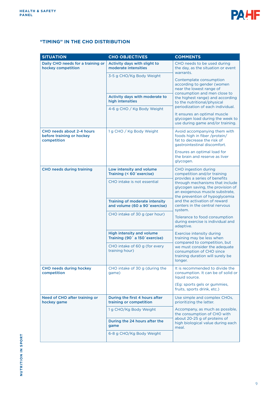

## **"TIMING" IN THE CHO DISTRIBUTION**

| <b>SITUATION</b>                                                      | <b>CHO OBJECTIVES</b>                                                               | <b>COMMENTS</b>                                                                                                                                                                                                                                                                                                                                                                                                                                                                                                                                 |  |
|-----------------------------------------------------------------------|-------------------------------------------------------------------------------------|-------------------------------------------------------------------------------------------------------------------------------------------------------------------------------------------------------------------------------------------------------------------------------------------------------------------------------------------------------------------------------------------------------------------------------------------------------------------------------------------------------------------------------------------------|--|
| Daily CHO needs for a training or<br>hockey competition               | Activity days with slight to<br>moderate intensities                                | CHO needs to be used during<br>the day, as the situation or event<br>warrants.<br>Contemplate consumption<br>according to gender (women<br>near the lowest range of<br>consumption and men close to<br>the highest range) and according<br>to the nutritional/physical<br>periodization of each individual.<br>It ensures an optimal muscle<br>glycogen load during the week to<br>use during game and/or training.                                                                                                                             |  |
|                                                                       | 3-5 g CHO/Kg Body Weight                                                            |                                                                                                                                                                                                                                                                                                                                                                                                                                                                                                                                                 |  |
|                                                                       | Activity days with moderate to<br>high intensities                                  |                                                                                                                                                                                                                                                                                                                                                                                                                                                                                                                                                 |  |
|                                                                       | 4-6 g CHO / Kg Body Weight                                                          |                                                                                                                                                                                                                                                                                                                                                                                                                                                                                                                                                 |  |
| CHO needs about 2-4 hours<br>before training or hockey<br>competition | 1 g CHO / Kg Body Weight                                                            | Avoid accompanying them with<br>foods high in fiber /protein/<br>fat to decrease the risk of<br>gastrointestinal discomfort.                                                                                                                                                                                                                                                                                                                                                                                                                    |  |
|                                                                       |                                                                                     | Ensures an optimal load for<br>the brain and reserve as liver<br>glycogen.                                                                                                                                                                                                                                                                                                                                                                                                                                                                      |  |
| <b>CHO needs during training</b>                                      | Low intensity and volume<br>Training (< 60'exercise)                                | <b>CHO</b> ingestion during<br>competition and/or training                                                                                                                                                                                                                                                                                                                                                                                                                                                                                      |  |
|                                                                       | CHO intake is not essential                                                         | provides a series of benefits<br>through mechanisms that include<br>glycogen saving, the provision of<br>an exogenous muscle substrate,<br>the prevention of hypoglycemia<br>and the activation of reward<br>centers in the central nervous<br>system.<br>Tolerance to food consumption<br>during exercise is individual and<br>adaptive.<br>Exercise intensity during<br>training may be less when<br>compared to competition, but<br>we must consider the adequate<br>consumption of CHO since<br>training duration will surely be<br>longer. |  |
|                                                                       | Training of moderate intensity<br>and volume (60 a 90'exercise)                     |                                                                                                                                                                                                                                                                                                                                                                                                                                                                                                                                                 |  |
|                                                                       | CHO intake of 30 g (per hour)                                                       |                                                                                                                                                                                                                                                                                                                                                                                                                                                                                                                                                 |  |
|                                                                       | High intensity and volume<br>Training (90 <sup>'</sup> a 150 <sup>'</sup> exercise) |                                                                                                                                                                                                                                                                                                                                                                                                                                                                                                                                                 |  |
|                                                                       | CHO intake of 60 g (for every<br>training hour)                                     |                                                                                                                                                                                                                                                                                                                                                                                                                                                                                                                                                 |  |
| <b>CHO needs during hockey</b><br>competition                         | CHO intake of 30 g (during the<br>game)                                             | It is recommended to divide the<br>consumption. It can be of solid or<br>liquid source.                                                                                                                                                                                                                                                                                                                                                                                                                                                         |  |
|                                                                       |                                                                                     | (Eg: sports gels or gummies,<br>fruits, sports drink, etc.)                                                                                                                                                                                                                                                                                                                                                                                                                                                                                     |  |
| Need of CHO after training or<br>hockey game                          | During the first 4 hours after<br>training or competition                           | Use simple and complex CHOs,<br>prioritizing the latter.<br>Accompany, as much as possible,<br>the consumption of CHO with<br>about 20-25 g of proteins of<br>high biological value during each<br>meal.                                                                                                                                                                                                                                                                                                                                        |  |
|                                                                       | 1g CHO/Kg Body Weight                                                               |                                                                                                                                                                                                                                                                                                                                                                                                                                                                                                                                                 |  |
|                                                                       | During the 24 hours after the<br>game                                               |                                                                                                                                                                                                                                                                                                                                                                                                                                                                                                                                                 |  |
|                                                                       | 6-8 g CHO/Kg Body Weight                                                            |                                                                                                                                                                                                                                                                                                                                                                                                                                                                                                                                                 |  |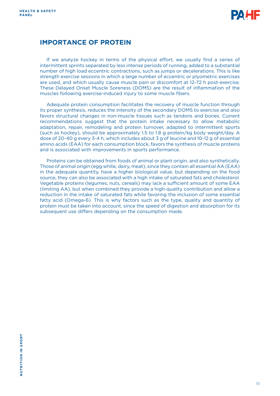

## **IMPORTANCE OF PROTEIN**

If we analyze hockey in terms of the physical effort, we usually find a series of intermittent sprints separated by less intense periods of running, added to a substantial number of high load eccentric contractions, such as jumps or decelerations. This is like strength exercise sessions in which a large number of eccentric or plyometric exercises are used, and which usually cause muscle pain or discomfort at 12-72 h post-exercise. These Delayed Onset Muscle Soreness (DOMS) are the result of inflammation of the muscles following exercise-induced injury to some muscle fibers.

Adequate protein consumption facilitates the recovery of muscle function through its proper synthesis, reduces the intensity of the secondary DOMS to exercise and also favors structural changes in non-muscle tissues such as tendons and bones. Current recommendations suggest that the protein intake necessary to allow metabolic adaptation, repair, remodeling and protein turnover, adapted to intermittent sports (such as hockey), should be approximately 1.5 to 1.8 g protein/kg body weight/day. A dose of 20-40 g every 3-4 h, which includes about 3 g of leucine and 10-12 g of essential amino acids (EAA) for each consumption block, favors the synthesis of muscle proteins and is associated with improvements in sports performance.

Proteins can be obtained from foods of animal or plant origin, and also synthetically. Those of animal origin (egg white, dairy, meat), since they contain all essential AA (EAA) in the adequate quantity, have a higher biological value, but depending on the food source, they can also be associated with a high intake of saturated fats and cholesterol. Vegetable proteins (legumes, nuts, cereals) may lack a sufficient amount of some EAA (limiting AA), but when combined they provide a high-quality contribution and allow a reduction in the intake of saturated fats while favoring the inclusion of some essential fatty acid (Omega-6). This is why factors such as the type, quality and quantity of protein must be taken into account, since the speed of digestion and absorption for its subsequent use differs depending on the consumption made.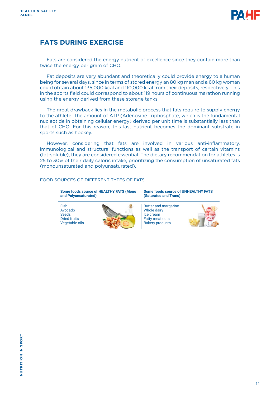

# **FATS DURING EXERCISE**

Fats are considered the energy nutrient of excellence since they contain more than twice the energy per gram of CHO.

Fat deposits are very abundant and theoretically could provide energy to a human being for several days, since in terms of stored energy an 80 kg man and a 60 kg woman could obtain about 135,000 kcal and 110,000 kcal from their deposits, respectively. This in the sports field could correspond to about 119 hours of continuous marathon running using the energy derived from these storage tanks.

The great drawback lies in the metabolic process that fats require to supply energy to the athlete. The amount of ATP (Adenosine Triphosphate, which is the fundamental nucleotide in obtaining cellular energy) derived per unit time is substantially less than that of CHO. For this reason, this last nutrient becomes the dominant substrate in sports such as hockey.

However, considering that fats are involved in various anti-inflammatory, immunological and structural functions as well as the transport of certain vitamins (fat-soluble), they are considered essential. The dietary recommendation for athletes is 25 to 30% of their daily caloric intake, prioritizing the consumption of unsaturated fats (monounsaturated and polyunsaturated).

#### FOOD SOURCES OF DIFFERENT TYPES OF FATS

**Some foods source of HEALTHY FATS (Mono and Polyunsaturated)**

Fish Avocado Seeds Dried fruits Vegetable oils



**Some foods source of UNHEALTHY FATS (Saturated and Trans)**

Butter and margarine Whole dairy Ice cream Fatty meat cuts Bakery products

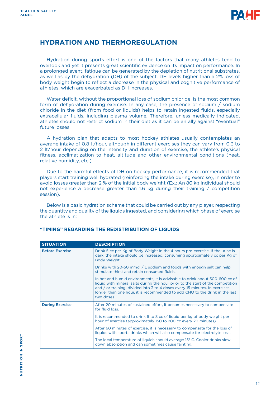

## **HYDRATION AND THERMOREGULATION**

Hydration during sports effort is one of the factors that many athletes tend to overlook and yet it presents great scientific evidence on its impact on performance. In a prolonged event, fatigue can be generated by the depletion of nutritional substrates, as well as by the dehydration (DH) of the subject. DH levels higher than a 2% loss of body weight begin to reflect a decrease in the physical and cognitive performance of athletes, which are exacerbated as DH increases.

Water deficit, without the proportional loss of sodium chloride, is the most common form of dehydration during exercise. In any case, the presence of sodium / sodium chloride in the diet (from food or liquids) helps to retain ingested fluids, especially extracellular fluids, including plasma volume. Therefore, unless medically indicated, athletes should not restrict sodium in their diet as it can be an ally against "eventual" future losses.

A hydration plan that adapts to most hockey athletes usually contemplates an average intake of 0.8 l /hour, although in different exercises they can vary from 0.3 to 2 lt/hour depending on the intensity and duration of exercise, the athlete's physical fitness, acclimatization to heat, altitude and other environmental conditions (heat, relative humidity, etc.).

Due to the harmful effects of DH on hockey performance, it is recommended that players start training well hydrated (reinforcing the intake during exercise), in order to avoid losses greater than 2 % of the initial body weight (Ex.: An 80 kg individual should not experience a decrease greater than 1.6 kg during their training / competition session).

Below is a basic hydration scheme that could be carried out by any player, respecting the quantity and quality of the liquids ingested, and considering which phase of exercise the athlete is in:

| <b>SITUATION</b>       | <b>DESCRIPTION</b>                                                                                                                                                                                                                                                                                                                         |
|------------------------|--------------------------------------------------------------------------------------------------------------------------------------------------------------------------------------------------------------------------------------------------------------------------------------------------------------------------------------------|
| <b>Before Exercise</b> | Drink 5 cc per Kg of Body Weight in the 4 hours pre-exercise. If the urine is<br>dark, the intake should be increased, consuming approximately cc per Kg of<br>Body Weight.                                                                                                                                                                |
|                        | Drinks with 20-50 mmol $/$ L sodium and foods with enough salt can help<br>stimulate thirst and retain consumed fluids.                                                                                                                                                                                                                    |
|                        | In hot and humid environments, it is advisable to drink about 500-600 cc of<br>liquid with mineral salts during the hour prior to the start of the competition<br>and / or training, divided into 3 to 4 doses every 15 minutes. In exercises<br>longer than one hour, it is recommended to add CHO to the drink in the last<br>two doses. |
| <b>During Exercise</b> | After 20 minutes of sustained effort, it becomes necessary to compensate<br>for fluid loss.                                                                                                                                                                                                                                                |
|                        | It is recommended to drink 6 to 8 cc of liquid per kg of body weight per<br>hour of exercise (approximately 150 to 200 cc every 20 minutes).                                                                                                                                                                                               |
|                        | After 60 minutes of exercise, it is necessary to compensate for the loss of<br>liquids with sports drinks which will also compensate for electrolyte loss.                                                                                                                                                                                 |
|                        | The ideal temperature of liquids should average 15 <sup>°</sup> C. Cooler drinks slow<br>down absorption and can sometimes cause fainting.                                                                                                                                                                                                 |

## **"TIMING" REGARDING THE REDISTRIBUTION OF LIQUIDS**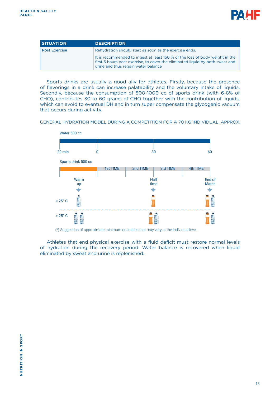

| <b>SITUATION</b>     | <b>DESCRIPTION</b>                                                                                                                                                                                   |
|----------------------|------------------------------------------------------------------------------------------------------------------------------------------------------------------------------------------------------|
| <b>Post Exercise</b> | Rehydration should start as soon as the exercise ends.                                                                                                                                               |
|                      | It is recommended to ingest at least 150 % of the loss of body weight in the<br>first 6 hours post exercise, to cover the eliminated liquid by both sweat and<br>urine and thus regain water balance |

Sports drinks are usually a good ally for athletes. Firstly, because the presence of flavorings in a drink can increase palatability and the voluntary intake of liquids. Secondly, because the consumption of 500-1000 cc of sports drink (with 6-8% of CHO), contributes 30 to 60 grams of CHO together with the contribution of liquids, which can avoid to eventual DH and in turn super compensate the glycogenic vacuum that occurs during activity.

GENERAL HYDRATION MODEL DURING A COMPETITION FOR A 70 KG INDIVIDUAL. APPROX.



(\*) Suggestion of approximate minimum quantities that may vary at the individual level.

Athletes that end physical exercise with a fluid deficit must restore normal levels of hydration during the recovery period. Water balance is recovered when liquid eliminated by sweat and urine is replenished.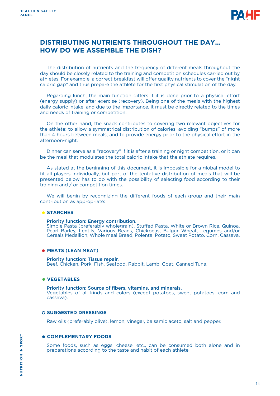

## **DISTRIBUTING NUTRIENTS THROUGHOUT THE DAY… HOW DO WE ASSEMBLE THE DISH?**

The distribution of nutrients and the frequency of different meals throughout the day should be closely related to the training and competition schedules carried out by athletes. For example, a correct breakfast will offer quality nutrients to cover the "night caloric gap" and thus prepare the athlete for the first physical stimulation of the day.

Regarding lunch, the main function differs if it is done prior to a physical effort (energy supply) or after exercise (recovery). Being one of the meals with the highest daily caloric intake, and due to the importance, it must be directly related to the times and needs of training or competition.

On the other hand, the snack contributes to covering two relevant objectives for the athlete: to allow a symmetrical distribution of calories, avoiding "bumps" of more than 4 hours between meals, and to provide energy prior to the physical effort in the afternoon-night.

Dinner can serve as a "recovery" if it is after a training or night competition, or it can be the meal that modulates the total caloric intake that the athlete requires.

As stated at the beginning of this document, it is impossible for a global model to fit all players individually, but part of the tentative distribution of meals that will be presented below has to do with the possibility of selecting food according to their training and / or competition times.

We will begin by recognizing the different foods of each group and their main contribution as appropriate:

#### **STARCHES**

#### Priority function: Energy contribution.

Simple Pasta (preferably wholegrain), Stuffed Pasta, White or Brown Rice, Quinoa, Pearl Barley, Lentils, Various Beans, Chickpeas, Bulgur Wheat, Legumes and/or Cereals Medallion, Whole meal Bread, Polenta, Potato, Sweet Potato, Corn, Cassava.

#### **MEATS (LEAN MEAT)**

Priority function: Tissue repair. Beef, Chicken, Pork, Fish, Seafood, Rabbit, Lamb, Goat, Canned Tuna.

#### **VEGETABLES**

Priority function: Source of fibers, vitamins, and minerals. Vegetables of all kinds and colors (except potatoes, sweet potatoes, corn and cassava).

#### **SUGGESTED DRESSINGS**

Raw oils (preferably olive), lemon, vinegar, balsamic aceto, salt and pepper.

#### **COMPLEMENTARY FOODS**

Some foods, such as eggs, cheese, etc., can be consumed both alone and in preparations according to the taste and habit of each athlete.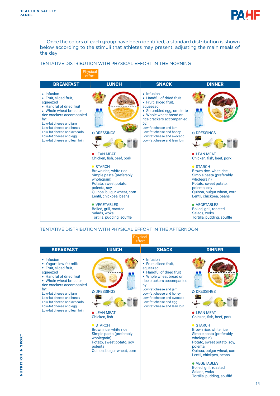

Once the colors of each group have been identified, a standard distribution is shown below according to the stimuli that athletes may present, adjusting the main meals of the day:

#### TENTATIVE DISTRIBUTION WITH PHYSICAL EFFORT IN THE MORNING



TENTATIVE DISTRIBUTION WITH PHYSICAL EFFORT IN THE AFTERNOON

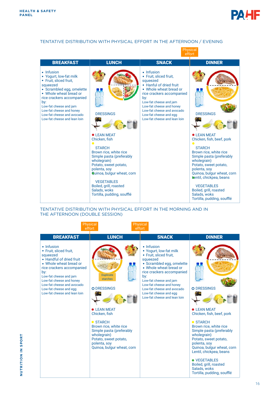

#### TENTATIVE DISTRIBUTION WITH PHYSICAL EFFORT IN THE AFTERNOON / EVENING



#### TENTATIVE DISTRIBUTION WITH PHYSICAL EFFORT IN THE MORNING AND IN THE AFTERNOON (DOUBLE SESSION)

|                                                                                                                                                                                                                                                                                          | <b>Physical</b><br>effort                                                                                                                                                                                                                          | <b>Physical</b><br>effort                                                                                                                                                                                                                                                                                           |                                                                                                                                                                                                                                                                                                                                           |
|------------------------------------------------------------------------------------------------------------------------------------------------------------------------------------------------------------------------------------------------------------------------------------------|----------------------------------------------------------------------------------------------------------------------------------------------------------------------------------------------------------------------------------------------------|---------------------------------------------------------------------------------------------------------------------------------------------------------------------------------------------------------------------------------------------------------------------------------------------------------------------|-------------------------------------------------------------------------------------------------------------------------------------------------------------------------------------------------------------------------------------------------------------------------------------------------------------------------------------------|
| <b>BREAKFAST</b>                                                                                                                                                                                                                                                                         | <b>LUNCH</b>                                                                                                                                                                                                                                       | <b>SNACK</b>                                                                                                                                                                                                                                                                                                        | <b>DINNER</b>                                                                                                                                                                                                                                                                                                                             |
| • Infusion<br>• Fruit, sliced fruit,<br>squeezed<br>• Handful of dried fruit<br>• Whole wheat bread or<br>rice crackers accompanied<br>by:<br>Low-fat cheese and jam<br>Low-fat cheese and honey<br>Low-fat cheese and avocado<br>Low-fat cheese and egg<br>Low-fat cheese and lean loin | <b>Duplicate</b><br>starches<br>O DRESSINGS<br><b>• LEAN MEAT</b><br>Chicken, fish<br>$\bullet$ STARCH<br>Brown rice, white rice<br>Simple pasta (preferably<br>wholegrain)<br>Potato, sweet potato,<br>polenta, soy<br>Quinoa, bulgur wheat, corn | • Infusion<br>• Yogurt, low-fat milk<br>• Fruit, sliced fruit,<br>squeezed<br>• Scrambled egg, omelette<br>• Whole wheat bread or<br>rice crackers accompanied<br>by:<br>Low-fat cheese and jam<br>Low-fat cheese and honey<br>Low-fat cheese and avocado<br>Low-fat cheese and egg<br>Low-fat cheese and lean loin | O DRESSINGS<br><b>• LEAN MEAT</b><br>Chicken, fish, beef, pork<br>● STARCH<br>Brown rice, white rice<br>Simple pasta (preferably<br>wholegrain)<br>Potato, sweet potato,<br>polenta, soy<br>Quinoa, bulgur wheat, corn<br>Lentil, chickpea, beans<br>• VEGETABLES<br>Boiled, grill, roasted<br>Salads, woks<br>Tortilla, pudding, soufflé |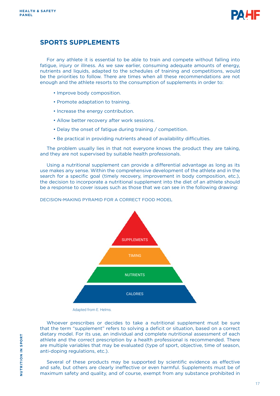

## **SPORTS SUPPLEMENTS**

For any athlete it is essential to be able to train and compete without falling into fatigue, injury or illness. As we saw earlier, consuming adequate amounts of energy, nutrients and liquids, adapted to the schedules of training and competitions, would be the priorities to follow. There are times when all these recommendations are not enough and the athlete resorts to the consumption of supplements in order to:

- Improve body composition.
- Promote adaptation to training.
- Increase the energy contribution.
- Allow better recovery after work sessions.
- Delay the onset of fatigue during training / competition.
- Be practical in providing nutrients ahead of availability difficulties.

The problem usually lies in that not everyone knows the product they are taking, and they are not supervised by suitable health professionals.

Using a nutritional supplement can provide a differential advantage as long as its use makes any sense. Within the comprehensive development of the athlete and in the search for a specific goal (timely recovery, improvement in body composition, etc.), the decision to incorporate a nutritional supplement into the diet of an athlete should be a response to cover issues such as those that we can see in the following drawing:

DECISION-MAKING PYRAMID FOR A CORRECT FOOD MODEL



Adapted from E. Helms.

Whoever prescribes or decides to take a nutritional supplement must be sure that the term "supplement" refers to solving a deficit or situation, based on a correct dietary model. For its use, an individual and complete nutritional assessment of each athlete and the correct prescription by a health professional is recommended. There are multiple variables that may be evaluated (type of sport, objective, time of season, anti-doping regulations, etc.).

Several of these products may be supported by scientific evidence as effective and safe, but others are clearly ineffective or even harmful. Supplements must be of maximum safety and quality, and of course, exempt from any substance prohibited in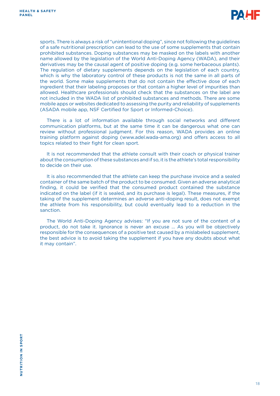

sports. There is always a risk of "unintentional doping", since not following the guidelines of a safe nutritional prescription can lead to the use of some supplements that contain prohibited substances. Doping substances may be masked on the labels with another name allowed by the legislation of the World Anti-Doping Agency (WADA), and their derivatives may be the causal agent of positive doping (e.g. some herbaceous plants). The regulation of dietary supplements depends on the legislation of each country, which is why the laboratory control of these products is not the same in all parts of the world. Some make supplements that do not contain the effective dose of each ingredient that their labeling proposes or that contain a higher level of impurities than allowed. Healthcare professionals should check that the substances on the label are not included in the WADA list of prohibited substances and methods. There are some mobile apps or websites dedicated to assessing the purity and reliability of supplements (ASADA mobile app, NSF Certified for Sport or Informed-Choice).

There is a lot of information available through social networks and different communication platforms, but at the same time it can be dangerous what one can review without professional judgment. For this reason, WADA provides an online training platform against doping (www.adel.wada-ama.org) and offers access to all topics related to their fight for clean sport.

It is not recommended that the athlete consult with their coach or physical trainer about the consumption of these substances and if so, it is the athlete's total responsibility to decide on their use.

It is also recommended that the athlete can keep the purchase invoice and a sealed container of the same batch of the product to be consumed. Given an adverse analytical finding, it could be verified that the consumed product contained the substance indicated on the label (if it is sealed, and its purchase is legal). These measures, if the taking of the supplement determines an adverse anti-doping result, does not exempt the athlete from his responsibility, but could eventually lead to a reduction in the sanction.

The World Anti-Doping Agency advises: "If you are not sure of the content of a product, do not take it. Ignorance is never an excuse ... As you will be objectively responsible for the consequences of a positive test caused by a mislabeled supplement, the best advice is to avoid taking the supplement if you have any doubts about what it may contain".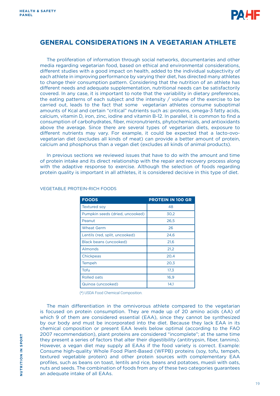

# **GENERAL CONSIDERATIONS IN A VEGETARIAN ATHLETE**

The proliferation of information through social networks, documentaries and other media regarding vegetarian food, based on ethical and environmental considerations, different studies with a good impact on health, added to the individual subjectivity of each athlete in improving performance by varying their diet, has directed many athletes to change their consumption pattern. Considering that the nutrition of an athlete has different needs and adequate supplementation, nutritional needs can be satisfactorily covered. In any case, it is important to note that the variability in dietary preferences, the eating patterns of each subject and the intensity / volume of the exercise to be carried out, leads to the fact that some vegetarian athletes consume suboptimal amounts of Kcal and certain "critical" nutrients such as: proteins, omega-3 fatty acids, calcium, vitamin D, iron, zinc, iodine and vitamin B-12. In parallel, it is common to find a consumption of carbohydrates, fiber, micronutrients, phytochemicals, and antioxidants above the average. Since there are several types of vegetarian diets, exposure to different nutrients may vary. For example, it could be expected that a lacto-ovovegetarian diet (excludes all kinds of meat) can provide a better amount of protein, calcium and phosphorus than a vegan diet (excludes all kinds of animal products).

In previous sections we reviewed issues that have to do with the amount and time of protein intake and its direct relationship with the repair and recovery process along with the adaptive response to exercise. Although the selection of foods regarding protein quality is important in all athletes, it is considered decisive in this type of diet.

| <b>FOODS</b>                    | <b>PROTEIN IN 100 GR</b> |
|---------------------------------|--------------------------|
| <b>Textured sov</b>             | 48                       |
| Pumpkin seeds (dried, uncooked) | 30,2                     |
| Peanut                          | 26,5                     |
| <b>Wheat Germ</b>               | 26                       |
| Lentils (red, split, uncooked)  | 24,6                     |
| Black beans (uncooked)          | 21,6                     |
| Almonds                         | 21,2                     |
| Chickpeas                       | 20,4                     |
| Tempeh                          | 20,3                     |
| Tofu                            | 17,3                     |
| Rolled oats                     | 16,9                     |
| Quinoa (uncooked)               | 14.1                     |

#### VEGETABLE PROTEIN-RICH FOODS

(\*) USDA Food Chemical Composition.

The main differentiation in the omnivorous athlete compared to the vegetarian is focused on protein consumption. They are made up of 20 amino acids (AA) of which 9 of them are considered essential (EAA), since they cannot be synthesized by our body and must be incorporated into the diet. Because they lack EAA in its chemical composition or present EAA levels below optimal (according to the FAO 2007 recommendation), plant proteins are considered "incomplete"; at the same time they present a series of factors that alter their digestibility (antitrypsin, fiber, tannins). However, a vegan diet may supply all EAAs if the food variety is correct. Example: Consume high-quality Whole Food Plant-Based (WFPB) proteins (soy, tofu, tempeh, textured vegetable protein) and other protein sources with complementary EAA profiles, such as beans on toast, lentils and rice, beans and potatoes, muesli with oats, nuts and seeds. The combination of foods from any of these two categories guarantees an adequate intake of all EAAs.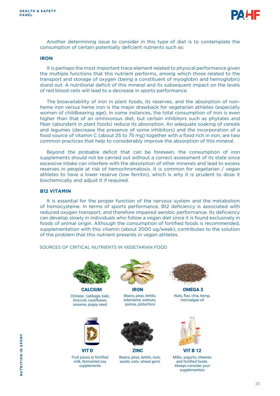

Another determining issue to consider in this type of diet is to contemplate the consumption of certain potentially deficient nutrients such as:

#### **IRON**

It is perhaps the most important trace element related to physical performance given the multiple functions that this nutrient performs, among which those related to the transport and storage of oxygen (being a constituent of myoglobin and hemoglobin) stand out. A nutritional deficit of this mineral and its subsequent impact on the levels of red blood cells will lead to a decrease in sports performance.

The bioavailability of iron in plant foods, its reserves, and the absorption of nonheme iron versus heme iron is the major drawback for vegetarian athletes (especially women of childbearing age). In some instances, the total consumption of iron is even higher than that of an omnivorous diet, but certain inhibitors such as phytates and fiber (abundant in plant foods) reduce its absorption. An adequate soaking of cereals and legumes (decrease the presence of some inhibitors) and the incorporation of a food source of vitamin C (about 25 to 75 mg) together with a food rich in iron, are two common practices that help to considerably improve the absorption of this mineral.

Beyond the probable deficit that can be foreseen, the consumption of iron supplements should not be carried out without a correct assessment of its state since excessive intake can interfere with the absorption of other minerals and lead to excess reserves in people at risk of hemochromatosis. It is common for vegetarian / vegan athletes to have a lower reserve (low ferritin), which is why it is prudent to dose it biochemically and adjust it if required.

#### **B12 VITAMIN**

It is essential for the proper function of the nervous system and the metabolism of homocysteine. In terms of sports performance, B12 deficiency is associated with reduced oxygen transport, and therefore impaired aerobic performance. Its deficiency can develop slowly in individuals who follow a vegan diet since it is found exclusively in foods of animal origin. Although the consumption of fortified foods is recommended, supplementation with this vitamin (about 2000 ug/week), contributes to the solution of the problem that this nutrient presents in vegan athletes.

#### SOURCES OF CRITICAL NUTRIENTS IN VEGETARIAN FOOD



Chinese cabbage, kale, broccoli, cauliflower, sesame, poppy seed



VIT D ZINC VIT B 12 Fruit juices or fortified milk, fermented soy supplements



CALCIUM IRON OMEGA 3 Beans, peas, lentils, edamame, walnuts, quinoa, pistachios



Beans, peas, lentils, nuts, seeds, oats, wheat germ



Nuts, flax, chia, hemp, microalgae oil



Milks, yogurts, cheeses and fortified foods. Always consider your supplemention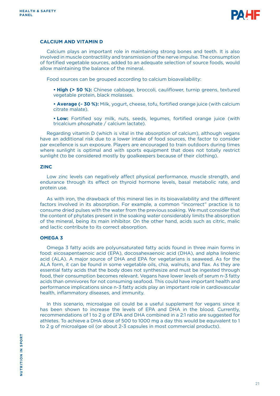

#### **CALCIUM AND VITAMIN D**

Calcium plays an important role in maintaining strong bones and teeth. It is also involved in muscle contractility and transmission of the nerve impulse. The consumption of fortified vegetable sources, added to an adequate selection of source foods, would allow maintaining the balance of the mineral.

Food sources can be grouped according to calcium bioavailability:

**• High (> 50 %):** Chinese cabbage, broccoli, cauliflower, turnip greens, textured vegetable protein, black molasses.

**• Average (~ 30 %):** Milk, yogurt, cheese, tofu, fortified orange juice (with calcium citrate malate).

**• Low:** Fortified soy milk, nuts, seeds, legumes, fortified orange juice (with tricalcium phosphate / calcium lactate).

Regarding vitamin D (which is vital in the absorption of calcium), although vegans have an additional risk due to a lower intake of food sources, the factor to consider par excellence is sun exposure. Players are encouraged to train outdoors during times where sunlight is optimal and with sports equipment that does not totally restrict sunlight (to be considered mostly by goalkeepers because of their clothing).

#### **ZINC**

Low zinc levels can negatively affect physical performance, muscle strength, and endurance through its effect on thyroid hormone levels, basal metabolic rate, and protein use.

As with iron, the drawback of this mineral lies in its bioavailability and the different factors involved in its absorption. For example, a common "incorrect" practice is to consume dried pulses with the water from the previous soaking. We must consider that the content of phytates present in the soaking water considerably limits the absorption of the mineral, being its main inhibitor. On the other hand, acids such as citric, malic and lactic contribute to its correct absorption.

#### **OMEGA 3**

Omega 3 fatty acids are polyunsaturated fatty acids found in three main forms in food: eicosapentaenoic acid (EPA), docosahexaenoic acid (DHA), and alpha linolenic acid (ALA). A major source of DHA and EPA for vegetarians is seaweed. As for the ALA form, it can be found in some vegetable oils, chia, walnuts, and flax. As they are essential fatty acids that the body does not synthesize and must be ingested through food, their consumption becomes relevant. Vegans have lower levels of serum n-3 fatty acids than omnivores for not consuming seafood. This could have important health and performance implications since n-3 fatty acids play an important role in cardiovascular health, inflammatory diseases, and immunity.

In this scenario, microalgae oil could be a useful supplement for vegans since it has been shown to increase the levels of EPA and DHA in the blood. Currently, recommendations of 1 to 2 g of EPA and DHA combined in a 2:1 ratio are suggested for athletes. To achieve a DHA dose of 500 to 1000 mg a day this would be equivalent to 1 to 2 g of microalgae oil (or about 2-3 capsules in most commercial products).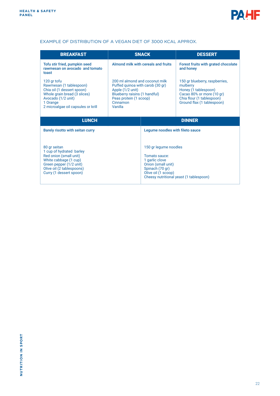

### EXAMPLE OF DISTRIBUTION OF A VEGAN DIET OF 3000 KCAL APPROX.

| <b>BREAKFAST</b>                                                                                                                                                               | <b>SNACK</b>                                                                                                                                                             |                                                                                                                                                                     | <b>DESSERT</b>                                                                                                                                             |
|--------------------------------------------------------------------------------------------------------------------------------------------------------------------------------|--------------------------------------------------------------------------------------------------------------------------------------------------------------------------|---------------------------------------------------------------------------------------------------------------------------------------------------------------------|------------------------------------------------------------------------------------------------------------------------------------------------------------|
| Tofu stir fried, pumpkin seed<br>rawmesan on avocado and tomato<br>toast                                                                                                       | Almond milk with cereals and fruits                                                                                                                                      |                                                                                                                                                                     | Forest fruits with grated chocolate<br>and honey                                                                                                           |
| 120 gr tofu<br>Rawmesan (1 tablespoon)<br>Chia oil (1 dessert spoon)<br>Whole grain bread (3 slices)<br>Avocado (1/2 unit)<br>1 Orange<br>2 microalgae oil capsules or krill   | 200 ml almond and coconut milk<br>Puffed quinoa with carob (30 gr)<br>Apple (1/2 unit)<br>Blueberry raisins (1 handful)<br>Peas protein (1 scoop)<br>Cinnamon<br>Vanilla |                                                                                                                                                                     | 150 gr blueberry, raspberries,<br>mulberry<br>Honey (1 tablespoon)<br>Cacao 80% or more (10 gr)<br>Chia flour (1 tablespoon)<br>Ground flax (1 tablespoon) |
| <b>LUNCH</b>                                                                                                                                                                   |                                                                                                                                                                          |                                                                                                                                                                     | <b>DINNER</b>                                                                                                                                              |
| Barely risotto with seitan curry                                                                                                                                               |                                                                                                                                                                          | Legume noodles with fileto sauce                                                                                                                                    |                                                                                                                                                            |
| 80 gr seitan<br>1 cup of hydrated barley<br>Red onion (small unit)<br>White cabbage (1 cup)<br>Green pepper (1/2 unit)<br>Olive oil (2 tablespoons)<br>Curry (1 dessert spoon) |                                                                                                                                                                          | 150 gr legume noodles<br>Tomato sauce:<br>1 garlic clove<br>Onion (small unit)<br>Spinach (70 gr)<br>Olive oil (1 scoop)<br>Cheesy nutritional yeast (1 tablespoon) |                                                                                                                                                            |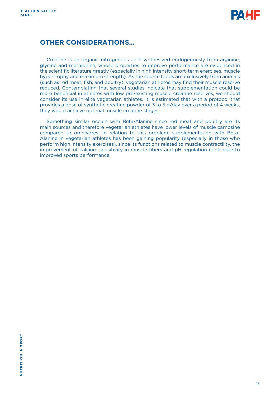

## **OTHER CONSIDERATIONS…**

Creatine is an organic nitrogenous acid synthesized endogenously from arginine, glycine and methionine, whose properties to improve performance are evidenced in the scientific literature greatly (especially in high intensity short-term exercises, muscle hypertrophy and maximum strength). As the source foods are exclusively from animals (such as red meat, fish, and poultry), vegetarian athletes may find their muscle reserve reduced. Contemplating that several studies indicate that supplementation could be more beneficial in athletes with low pre-existing muscle creatine reserves, we should consider its use in elite vegetarian athletes. It is estimated that with a protocol that provides a dose of synthetic creatine powder of 3 to 5 g/day over a period of 4 weeks, they would achieve optimal muscle creatine stages.

Something similar occurs with Beta-Alanine since red meat and poultry are its main sources and therefore vegetarian athletes have lower levels of muscle carnosine compared to omnivores. In relation to this problem, supplementation with Beta-Alanine in vegetarian athletes has been gaining popularity (especially in those who perform high intensity exercises), since its functions related to muscle contractility, the improvement of calcium sensitivity in muscle fibers and pH regulation contribute to improved sports performance.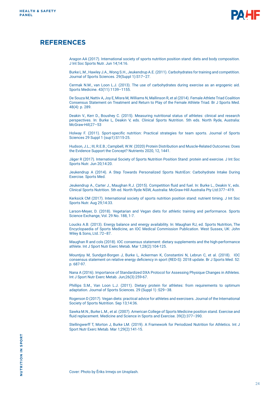

## **REFERENCES**

Aragon AA (2017). International society of sports nutrition position stand: diets and body composition. J Int Soc Sports Nutr. Jun 14;14:16.

Burke L.M., Hawley J.A., Wong S.H., Jeukendrup A.E. (2011). Carbohydrates for training and competition. Journal of Sports Sciences. 29(Suppl 1):S17–27.

Cermak N.M., van Loon L.J. (2013). The use of carbohydrates during exercise as an ergogenic aid. Sports Medicine. 43(11):1139–1155.

De Souza M, Nattiv A, Joy E, Misra M, Williams N, Mallinson R, et al (2014). Female Athlete Triad Coalition Consensus Statement on Treatment and Return to Play of the Female Athlete Triad. Br J Sports Med. 48(4): p. 289.

Deakin V., Kerr D., Boushey C. (2015). Measuring nutritional status of athletes: clinical and research perspectives. In: Burke L, Deakin V, eds. Clinical Sports Nutrition. 5th eds. North Ryde, Australia: McGraw-Hill;27–53

Holway F. (2011). Sport-specific nutrition: Practical strategies for team sports. Journal of Sports Sciences 29 Suppl 1 (sup1):S115-25.

Hudson, J.L.; III, R.E.B.; Campbell, W.W. (2020) Protein Distribution and Muscle-Related Outcomes: Does the Evidence Support the Concept? Nutrients 2020, 12, 1441.

Jäger R (2017). International Society of Sports Nutrition Position Stand: protein and exercise. J Int Soc Sports Nutr. Jun 20;14:20.

Jeukendrup A (2014). A Step Towards Personalized Sports NutriEon: Carbohydrate Intake During Exercise. Sports Med.

Jeukendrup A., Carter J., Maughan R.J. (2015). Competition fluid and fuel. In: Burke L., Deakin V., eds. Clinical Sports Nutrition. 5th ed. North Ryde NSW, Australia: McGraw-Hill Australia Pty Ltd:377–419.

Kerksick CM (2017). International society of sports nutrition position stand: nutrient timing. J Int Soc Sports Nutr. Aug 29;14:33.

Larson-Meyer, D. (2018). Vegetarian and Vegan diets for athletic training and performance. Sports Science Exchange, Vol. 29 No. 188, 1-7.

Loucks A.B. (2013). Energy balance and energy availability. In: Maughan RJ, ed. Sports Nutrition, The Encyclopaedia of Sports Medicine, an IOC Medical Commission Publication. West Sussex, UK: John Wiley & Sons, Ltd.:72–87.

Maughan R and cols (2018). IOC consensus statement: dietary supplements and the high-performance athlete. Int J Sport Nutr Exerc Metab. Mar 1;28(2):104-125.

Mountjoy M, Sundgot-Borgen J, Burke L, Ackerman K, Constantini N, Lebrun C, et al. (2018). IOC consensus statement on relative energy deficiency in sport (RED-S): 2018 update. Br J Sports Med. 52: p. 687-97.

Nana A (2016). Importance of Standardized DXA Protocol for Assessing Physique Changes in Athletes. Int J Sport Nutr Exerc Metab. Jun;26(3):259-67.

Phillips S.M., Van Loon L.J. (2011). Dietary protein for athletes: from requirements to optimum adaptation. Journal of Sports Sciences. 29 (Suppl 1) :S29–38.

Rogerson D (2017). Vegan diets: practical advice for athletes and exercisers. Journal of the International Society of Sports Nutrition. Sep 13;14:36.

Sawka M.N., Burke L.M., et al. (2007). American College of Sports Medicine position stand. Exercise and fluid replacement. Medicine and Science in Sports and Exercise. 39(2):377–390.

Stellingwerff T, Morton J, Burke LM. (2019). A Framework for Periodized Nutrition for Athletics. Int J Sport Nutr Exerc Metab. Mar 1;29(2):141-15.